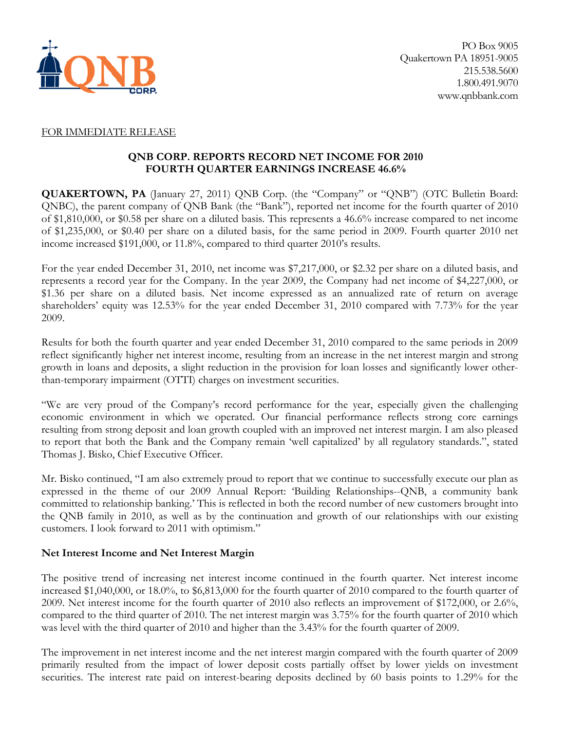

#### FOR IMMEDIATE RELEASE

### **QNB CORP. REPORTS RECORD NET INCOME FOR 2010 FOURTH QUARTER EARNINGS INCREASE 46.6%**

**QUAKERTOWN, PA** (January 27, 2011) QNB Corp. (the "Company" or "QNB") (OTC Bulletin Board: QNBC), the parent company of QNB Bank (the "Bank"), reported net income for the fourth quarter of 2010 of \$1,810,000, or \$0.58 per share on a diluted basis. This represents a 46.6% increase compared to net income of \$1,235,000, or \$0.40 per share on a diluted basis, for the same period in 2009. Fourth quarter 2010 net income increased \$191,000, or 11.8%, compared to third quarter 2010's results.

For the year ended December 31, 2010, net income was \$7,217,000, or \$2.32 per share on a diluted basis, and represents a record year for the Company. In the year 2009, the Company had net income of \$4,227,000, or \$1.36 per share on a diluted basis. Net income expressed as an annualized rate of return on average shareholders' equity was 12.53% for the year ended December 31, 2010 compared with 7.73% for the year 2009.

Results for both the fourth quarter and year ended December 31, 2010 compared to the same periods in 2009 reflect significantly higher net interest income, resulting from an increase in the net interest margin and strong growth in loans and deposits, a slight reduction in the provision for loan losses and significantly lower otherthan-temporary impairment (OTTI) charges on investment securities.

"We are very proud of the Company's record performance for the year, especially given the challenging economic environment in which we operated. Our financial performance reflects strong core earnings resulting from strong deposit and loan growth coupled with an improved net interest margin. I am also pleased to report that both the Bank and the Company remain 'well capitalized' by all regulatory standards.", stated Thomas J. Bisko, Chief Executive Officer.

Mr. Bisko continued, "I am also extremely proud to report that we continue to successfully execute our plan as expressed in the theme of our 2009 Annual Report: 'Building Relationships--QNB, a community bank committed to relationship banking.' This is reflected in both the record number of new customers brought into the QNB family in 2010, as well as by the continuation and growth of our relationships with our existing customers. I look forward to 2011 with optimism."

#### **Net Interest Income and Net Interest Margin**

The positive trend of increasing net interest income continued in the fourth quarter. Net interest income increased \$1,040,000, or 18.0%, to \$6,813,000 for the fourth quarter of 2010 compared to the fourth quarter of 2009. Net interest income for the fourth quarter of 2010 also reflects an improvement of \$172,000, or 2.6%, compared to the third quarter of 2010. The net interest margin was 3.75% for the fourth quarter of 2010 which was level with the third quarter of 2010 and higher than the 3.43% for the fourth quarter of 2009.

The improvement in net interest income and the net interest margin compared with the fourth quarter of 2009 primarily resulted from the impact of lower deposit costs partially offset by lower yields on investment securities. The interest rate paid on interest-bearing deposits declined by 60 basis points to 1.29% for the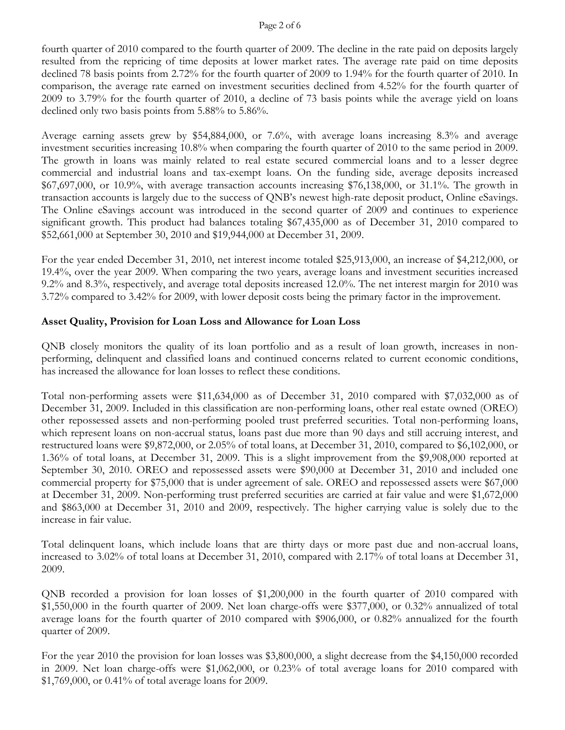#### Page 2 of 6

fourth quarter of 2010 compared to the fourth quarter of 2009. The decline in the rate paid on deposits largely resulted from the repricing of time deposits at lower market rates. The average rate paid on time deposits declined 78 basis points from 2.72% for the fourth quarter of 2009 to 1.94% for the fourth quarter of 2010. In comparison, the average rate earned on investment securities declined from 4.52% for the fourth quarter of 2009 to 3.79% for the fourth quarter of 2010, a decline of 73 basis points while the average yield on loans declined only two basis points from 5.88% to 5.86%.

Average earning assets grew by \$54,884,000, or 7.6%, with average loans increasing 8.3% and average investment securities increasing 10.8% when comparing the fourth quarter of 2010 to the same period in 2009. The growth in loans was mainly related to real estate secured commercial loans and to a lesser degree commercial and industrial loans and tax-exempt loans. On the funding side, average deposits increased \$67,697,000, or 10.9%, with average transaction accounts increasing \$76,138,000, or 31.1%. The growth in transaction accounts is largely due to the success of QNB's newest high-rate deposit product, Online eSavings. The Online eSavings account was introduced in the second quarter of 2009 and continues to experience significant growth. This product had balances totaling \$67,435,000 as of December 31, 2010 compared to \$52,661,000 at September 30, 2010 and \$19,944,000 at December 31, 2009.

For the year ended December 31, 2010, net interest income totaled \$25,913,000, an increase of \$4,212,000, or 19.4%, over the year 2009. When comparing the two years, average loans and investment securities increased 9.2% and 8.3%, respectively, and average total deposits increased 12.0%. The net interest margin for 2010 was 3.72% compared to 3.42% for 2009, with lower deposit costs being the primary factor in the improvement.

### **Asset Quality, Provision for Loan Loss and Allowance for Loan Loss**

QNB closely monitors the quality of its loan portfolio and as a result of loan growth, increases in nonperforming, delinquent and classified loans and continued concerns related to current economic conditions, has increased the allowance for loan losses to reflect these conditions.

Total non-performing assets were \$11,634,000 as of December 31, 2010 compared with \$7,032,000 as of December 31, 2009. Included in this classification are non-performing loans, other real estate owned (OREO) other repossessed assets and non-performing pooled trust preferred securities. Total non-performing loans, which represent loans on non-accrual status, loans past due more than 90 days and still accruing interest, and restructured loans were \$9,872,000, or 2.05% of total loans, at December 31, 2010, compared to \$6,102,000, or 1.36% of total loans, at December 31, 2009. This is a slight improvement from the \$9,908,000 reported at September 30, 2010. OREO and repossessed assets were \$90,000 at December 31, 2010 and included one commercial property for \$75,000 that is under agreement of sale. OREO and repossessed assets were \$67,000 at December 31, 2009. Non-performing trust preferred securities are carried at fair value and were \$1,672,000 and \$863,000 at December 31, 2010 and 2009, respectively. The higher carrying value is solely due to the increase in fair value.

Total delinquent loans, which include loans that are thirty days or more past due and non-accrual loans, increased to 3.02% of total loans at December 31, 2010, compared with 2.17% of total loans at December 31, 2009.

QNB recorded a provision for loan losses of \$1,200,000 in the fourth quarter of 2010 compared with \$1,550,000 in the fourth quarter of 2009. Net loan charge-offs were \$377,000, or 0.32% annualized of total average loans for the fourth quarter of 2010 compared with \$906,000, or 0.82% annualized for the fourth quarter of 2009.

For the year 2010 the provision for loan losses was \$3,800,000, a slight decrease from the \$4,150,000 recorded in 2009. Net loan charge-offs were \$1,062,000, or 0.23% of total average loans for 2010 compared with \$1,769,000, or 0.41% of total average loans for 2009.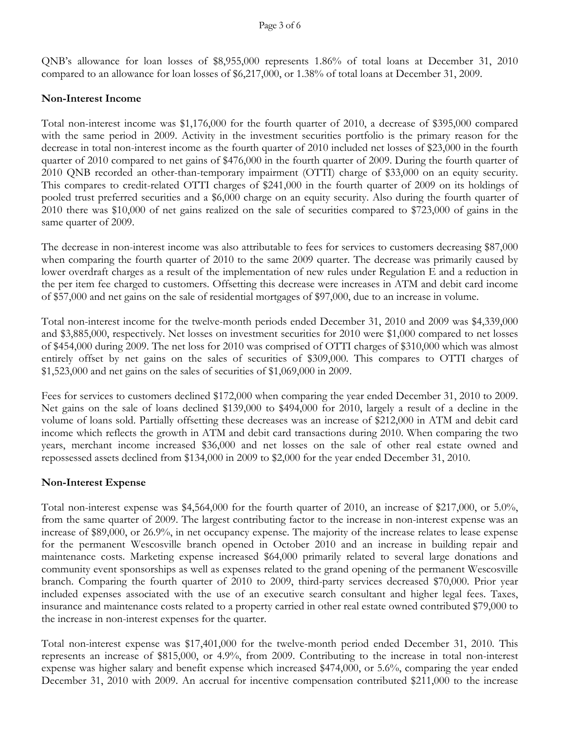QNB's allowance for loan losses of \$8,955,000 represents 1.86% of total loans at December 31, 2010 compared to an allowance for loan losses of \$6,217,000, or 1.38% of total loans at December 31, 2009.

#### **Non-Interest Income**

Total non-interest income was \$1,176,000 for the fourth quarter of 2010, a decrease of \$395,000 compared with the same period in 2009. Activity in the investment securities portfolio is the primary reason for the decrease in total non-interest income as the fourth quarter of 2010 included net losses of \$23,000 in the fourth quarter of 2010 compared to net gains of \$476,000 in the fourth quarter of 2009. During the fourth quarter of 2010 QNB recorded an other-than-temporary impairment (OTTI) charge of \$33,000 on an equity security. This compares to credit-related OTTI charges of \$241,000 in the fourth quarter of 2009 on its holdings of pooled trust preferred securities and a \$6,000 charge on an equity security. Also during the fourth quarter of 2010 there was \$10,000 of net gains realized on the sale of securities compared to \$723,000 of gains in the same quarter of 2009.

The decrease in non-interest income was also attributable to fees for services to customers decreasing \$87,000 when comparing the fourth quarter of 2010 to the same 2009 quarter. The decrease was primarily caused by lower overdraft charges as a result of the implementation of new rules under Regulation E and a reduction in the per item fee charged to customers. Offsetting this decrease were increases in ATM and debit card income of \$57,000 and net gains on the sale of residential mortgages of \$97,000, due to an increase in volume.

Total non-interest income for the twelve-month periods ended December 31, 2010 and 2009 was \$4,339,000 and \$3,885,000, respectively. Net losses on investment securities for 2010 were \$1,000 compared to net losses of \$454,000 during 2009. The net loss for 2010 was comprised of OTTI charges of \$310,000 which was almost entirely offset by net gains on the sales of securities of \$309,000. This compares to OTTI charges of \$1,523,000 and net gains on the sales of securities of \$1,069,000 in 2009.

Fees for services to customers declined \$172,000 when comparing the year ended December 31, 2010 to 2009. Net gains on the sale of loans declined \$139,000 to \$494,000 for 2010, largely a result of a decline in the volume of loans sold. Partially offsetting these decreases was an increase of \$212,000 in ATM and debit card income which reflects the growth in ATM and debit card transactions during 2010. When comparing the two years, merchant income increased \$36,000 and net losses on the sale of other real estate owned and repossessed assets declined from \$134,000 in 2009 to \$2,000 for the year ended December 31, 2010.

### **Non-Interest Expense**

Total non-interest expense was \$4,564,000 for the fourth quarter of 2010, an increase of \$217,000, or 5.0%, from the same quarter of 2009. The largest contributing factor to the increase in non-interest expense was an increase of \$89,000, or 26.9%, in net occupancy expense. The majority of the increase relates to lease expense for the permanent Wescosville branch opened in October 2010 and an increase in building repair and maintenance costs. Marketing expense increased \$64,000 primarily related to several large donations and community event sponsorships as well as expenses related to the grand opening of the permanent Wescosville branch. Comparing the fourth quarter of 2010 to 2009, third-party services decreased \$70,000. Prior year included expenses associated with the use of an executive search consultant and higher legal fees. Taxes, insurance and maintenance costs related to a property carried in other real estate owned contributed \$79,000 to the increase in non-interest expenses for the quarter.

Total non-interest expense was \$17,401,000 for the twelve-month period ended December 31, 2010. This represents an increase of \$815,000, or 4.9%, from 2009. Contributing to the increase in total non-interest expense was higher salary and benefit expense which increased \$474,000, or 5.6%, comparing the year ended December 31, 2010 with 2009. An accrual for incentive compensation contributed \$211,000 to the increase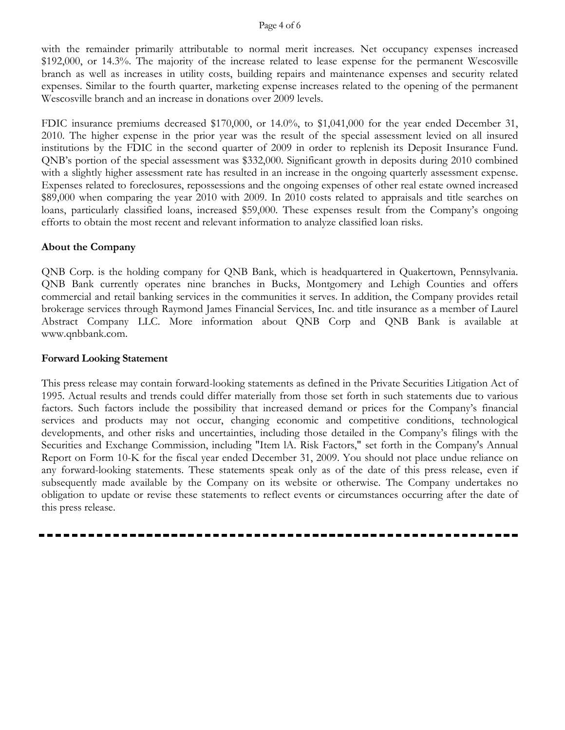#### Page 4 of 6

with the remainder primarily attributable to normal merit increases. Net occupancy expenses increased \$192,000, or 14.3%. The majority of the increase related to lease expense for the permanent Wescosville branch as well as increases in utility costs, building repairs and maintenance expenses and security related expenses. Similar to the fourth quarter, marketing expense increases related to the opening of the permanent Wescosville branch and an increase in donations over 2009 levels.

FDIC insurance premiums decreased \$170,000, or 14.0%, to \$1,041,000 for the year ended December 31, 2010. The higher expense in the prior year was the result of the special assessment levied on all insured institutions by the FDIC in the second quarter of 2009 in order to replenish its Deposit Insurance Fund. QNB's portion of the special assessment was \$332,000. Significant growth in deposits during 2010 combined with a slightly higher assessment rate has resulted in an increase in the ongoing quarterly assessment expense. Expenses related to foreclosures, repossessions and the ongoing expenses of other real estate owned increased \$89,000 when comparing the year 2010 with 2009. In 2010 costs related to appraisals and title searches on loans, particularly classified loans, increased \$59,000. These expenses result from the Company's ongoing efforts to obtain the most recent and relevant information to analyze classified loan risks.

#### **About the Company**

QNB Corp. is the holding company for QNB Bank, which is headquartered in Quakertown, Pennsylvania. QNB Bank currently operates nine branches in Bucks, Montgomery and Lehigh Counties and offers commercial and retail banking services in the communities it serves. In addition, the Company provides retail brokerage services through Raymond James Financial Services, Inc. and title insurance as a member of Laurel Abstract Company LLC. More information about QNB Corp and QNB Bank is available at www.qnbbank.com.

#### **Forward Looking Statement**

This press release may contain forward-looking statements as defined in the Private Securities Litigation Act of 1995. Actual results and trends could differ materially from those set forth in such statements due to various factors. Such factors include the possibility that increased demand or prices for the Company's financial services and products may not occur, changing economic and competitive conditions, technological developments, and other risks and uncertainties, including those detailed in the Company's filings with the Securities and Exchange Commission, including "Item lA. Risk Factors," set forth in the Company's Annual Report on Form 10-K for the fiscal year ended December 31, 2009. You should not place undue reliance on any forward-looking statements. These statements speak only as of the date of this press release, even if subsequently made available by the Company on its website or otherwise. The Company undertakes no obligation to update or revise these statements to reflect events or circumstances occurring after the date of this press release.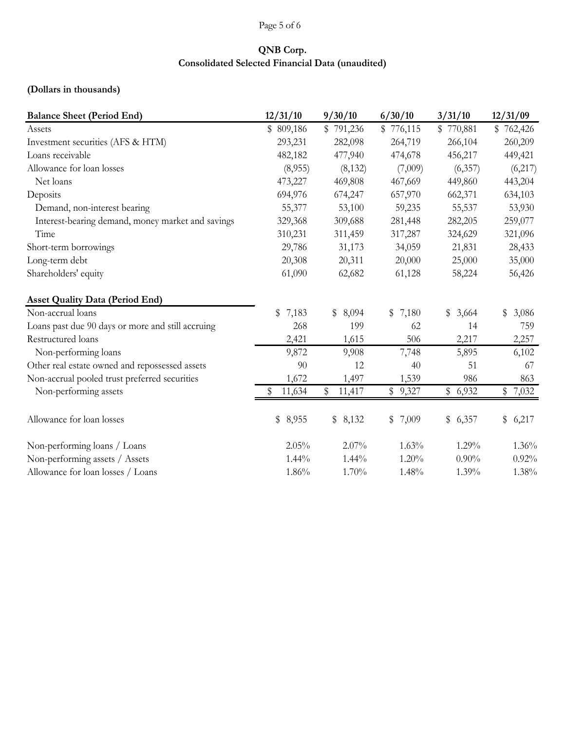# Page 5 of 6

## **QNB Corp. Consolidated Selected Financial Data (unaudited)**

# **(Dollars in thousands)**

| <b>Balance Sheet (Period End)</b>                 | 12/31/10    | 9/30/10      | 6/30/10   | 3/31/10     | 12/31/09    |
|---------------------------------------------------|-------------|--------------|-----------|-------------|-------------|
| Assets                                            | \$809,186   | \$791,236    | \$776,115 | \$770,881   | \$762,426   |
| Investment securities (AFS & HTM)                 | 293,231     | 282,098      | 264,719   | 266,104     | 260,209     |
| Loans receivable                                  | 482,182     | 477,940      | 474,678   | 456,217     | 449,421     |
| Allowance for loan losses                         | (8,955)     | (8, 132)     | (7,009)   | (6,357)     | (6,217)     |
| Net loans                                         | 473,227     | 469,808      | 467,669   | 449,860     | 443,204     |
| Deposits                                          | 694,976     | 674,247      | 657,970   | 662,371     | 634,103     |
| Demand, non-interest bearing                      | 55,377      | 53,100       | 59,235    | 55,537      | 53,930      |
| Interest-bearing demand, money market and savings | 329,368     | 309,688      | 281,448   | 282,205     | 259,077     |
| Time                                              | 310,231     | 311,459      | 317,287   | 324,629     | 321,096     |
| Short-term borrowings                             | 29,786      | 31,173       | 34,059    | 21,831      | 28,433      |
| Long-term debt                                    | 20,308      | 20,311       | 20,000    | 25,000      | 35,000      |
| Shareholders' equity                              | 61,090      | 62,682       | 61,128    | 58,224      | 56,426      |
| <b>Asset Quality Data (Period End)</b>            |             |              |           |             |             |
| Non-accrual loans                                 | \$<br>7,183 | \$8,094      | \$7,180   | 3,664<br>\$ | \$<br>3,086 |
| Loans past due 90 days or more and still accruing | 268         | 199          | 62        | 14          | 759         |
| Restructured loans                                | 2,421       | 1,615        | 506       | 2,217       | 2,257       |
| Non-performing loans                              | 9,872       | 9,908        | 7,748     | 5,895       | 6,102       |
| Other real estate owned and repossessed assets    | 90          | 12           | 40        | 51          | 67          |
| Non-accrual pooled trust preferred securities     | 1,672       | 1,497        | 1,539     | 986         | 863         |
| Non-performing assets                             | 11,634      | \$<br>11,417 | \$9,327   | \$6,932     | \$7,032     |
| Allowance for loan losses                         | \$ 8,955    | \$8,132      | \$7,009   | \$6,357     | \$6,217     |
| Non-performing loans / Loans                      | 2.05%       | 2.07%        | 1.63%     | 1.29%       | 1.36%       |
| Non-performing assets / Assets                    | 1.44%       | 1.44%        | 1.20%     | $0.90\%$    | 0.92%       |
| Allowance for loan losses / Loans                 | 1.86%       | 1.70%        | 1.48%     | 1.39%       | 1.38%       |